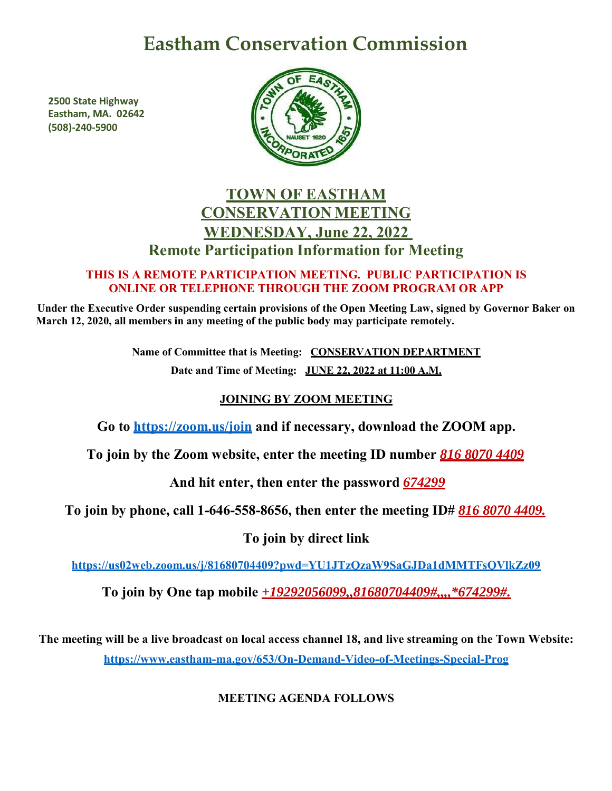# **Eastham Conservation Commission**

**2500 State Highway Eastham, MA. 02642 (508)-240-5900**



# **TOWN OF EASTHAM CONSERVATION MEETING WEDNESDAY, June 22, 2022 Remote Participation Information for Meeting**

#### **THIS IS A REMOTE PARTICIPATION MEETING. PUBLIC PARTICIPATION IS ONLINE OR TELEPHONE THROUGH THE ZOOM PROGRAM OR APP**

**Under the Executive Order suspending certain provisions of the Open Meeting Law, signed by Governor Baker on March 12, 2020, all members in any meeting of the public body may participate remotely.**

> **Name of Committee that is Meeting: CONSERVATION DEPARTMENT Date and Time of Meeting: JUNE 22, 2022 at 11:00 A.M.**

## **JOINING BY ZOOM MEETING**

**Go to<https://zoom.us/join> and if necessary, download the ZOOM app.**

**To join by the Zoom website, enter the meeting ID number** *816 8070 4409*

**And hit enter, then enter the password** *674299*

**To join by phone, call 1-646-558-8656, then enter the meeting ID#** *816 8070 4409.*

**To join by direct link**

**<https://us02web.zoom.us/j/81680704409?pwd=YU1JTzQzaW9SaGJDa1dMMTFsQVlkZz09>**

**To join by One tap mobile** *+19292056099,,81680704409#,,,,\*674299#.*

**The meeting will be a live broadcast on local access channel 18, and live streaming on the Town Website: <https://www.eastham-ma.gov/653/On-Demand-Video-of-Meetings-Special-Prog>**

## **MEETING AGENDA FOLLOWS**